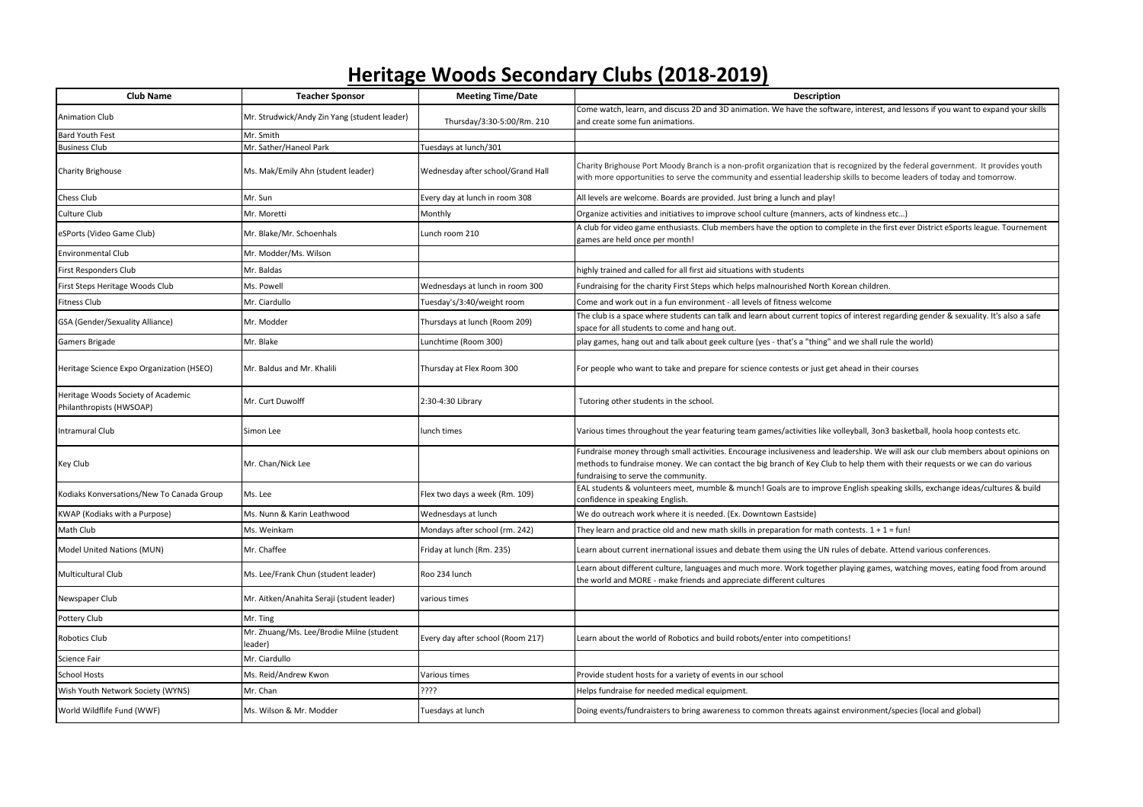## **Heritage Woods Secondary Clubs (2018-2019)**

| <b>Club Name</b>                                               | <b>Teacher Sponsor</b>                              | <b>Meeting Time/Date</b>          | <b>Description</b>                                                                                                                                                                                                                                                                                     |
|----------------------------------------------------------------|-----------------------------------------------------|-----------------------------------|--------------------------------------------------------------------------------------------------------------------------------------------------------------------------------------------------------------------------------------------------------------------------------------------------------|
| Animation Club                                                 | Mr. Strudwick/Andy Zin Yang (student leader)        | Thursday/3:30-5:00/Rm. 210        | Come watch, learn, and discuss 2D and 3D animation. We have the software, interest, and lessons if you want to expand your skills<br>and create some fun animations.                                                                                                                                   |
| <b>Bard Youth Fest</b>                                         | Mr. Smith                                           |                                   |                                                                                                                                                                                                                                                                                                        |
| <b>Business Club</b>                                           | Mr. Sather/Haneol Park                              | Tuesdays at lunch/301             |                                                                                                                                                                                                                                                                                                        |
| Charity Brighouse                                              | Ms. Mak/Emily Ahn (student leader)                  | Wednesday after school/Grand Hall | Charity Brighouse Port Moody Branch is a non-profit organization that is recognized by the federal government. It provides youth<br>with more opportunities to serve the community and essential leadership skills to become leaders of today and tomorrow.                                            |
| Chess Club                                                     | Mr. Sun                                             | Every day at lunch in room 308    | All levels are welcome. Boards are provided. Just bring a lunch and play!                                                                                                                                                                                                                              |
| Culture Club                                                   | Mr. Moretti                                         | Monthly                           | Organize activities and initiatives to improve school culture (manners, acts of kindness etc)                                                                                                                                                                                                          |
| eSPorts (Video Game Club)                                      | Mr. Blake/Mr. Schoenhals                            | Lunch room 210                    | A club for video game enthusiasts. Club members have the option to complete in the first ever District eSports league. Tournement<br>games are held once per month!                                                                                                                                    |
| <b>Environmental Club</b>                                      | Mr. Modder/Ms. Wilson                               |                                   |                                                                                                                                                                                                                                                                                                        |
| First Responders Club                                          | Mr. Baldas                                          |                                   | highly trained and called for all first aid situations with students                                                                                                                                                                                                                                   |
| First Steps Heritage Woods Club                                | Ms. Powell                                          | Wednesdays at lunch in room 300   | Fundraising for the charity First Steps which helps malnourished North Korean children.                                                                                                                                                                                                                |
| Fitness Club                                                   | Mr. Ciardullo                                       | Tuesday's/3:40/weight room        | Come and work out in a fun environment - all levels of fitness welcome                                                                                                                                                                                                                                 |
| GSA (Gender/Sexuality Alliance)                                | Mr. Modder                                          | Thursdays at lunch (Room 209)     | The club is a space where students can talk and learn about current topics of interest regarding gender & sexuality. It's also a safe<br>space for all students to come and hang out.                                                                                                                  |
| Gamers Brigade                                                 | Mr. Blake                                           | Lunchtime (Room 300)              | play games, hang out and talk about geek culture (yes - that's a "thing" and we shall rule the world)                                                                                                                                                                                                  |
| Heritage Science Expo Organization (HSEO)                      | Mr. Baldus and Mr. Khalili                          | Thursday at Flex Room 300         | For people who want to take and prepare for science contests or just get ahead in their courses                                                                                                                                                                                                        |
| Heritage Woods Society of Academic<br>Philanthropists (HWSOAP) | Mr. Curt Duwolff                                    | 2:30-4:30 Library                 | Tutoring other students in the school.                                                                                                                                                                                                                                                                 |
| Intramural Club                                                | Simon Lee                                           | lunch times                       | Various times throughout the year featuring team games/activities like volleyball, 3on3 basketball, hoola hoop contests etc.                                                                                                                                                                           |
| Key Club                                                       | Mr. Chan/Nick Lee                                   |                                   | Fundraise money through small activities. Encourage inclusiveness and leadership. We will ask our club members about opinions on<br>methods to fundraise money. We can contact the big branch of Key Club to help them with their requests or we can do various<br>fundraising to serve the community. |
| Kodiaks Konversations/New To Canada Group                      | Ms. Lee                                             | Flex two days a week (Rm. 109)    | EAL students & volunteers meet, mumble & munch! Goals are to improve English speaking skills, exchange ideas/cultures & build<br>confidence in speaking English.                                                                                                                                       |
| KWAP (Kodiaks with a Purpose)                                  | Vis. Nunn & Karin Leathwood                         | Wednesdays at lunch               | We do outreach work where it is needed. (Ex. Downtown Eastside)                                                                                                                                                                                                                                        |
| Math Club                                                      | Ms. Weinkam                                         | Mondays after school (rm. 242)    | They learn and practice old and new math skills in preparation for math contests. $1 + 1 = \text{fun}!$                                                                                                                                                                                                |
| Model United Nations (MUN)                                     | Mr. Chaffee                                         | Friday at lunch (Rm. 235)         | Learn about current inernational issues and debate them using the UN rules of debate. Attend various conferences.                                                                                                                                                                                      |
| Multicultural Club                                             | Ms. Lee/Frank Chun (student leader)                 | Roo 234 lunch                     | Learn about different culture, languages and much more. Work together playing games, watching moves, eating food from around<br>the world and MORE - make friends and appreciate different cultures                                                                                                    |
| Newspaper Club                                                 | Mr. Aitken/Anahita Seraji (student leader)          | various times                     |                                                                                                                                                                                                                                                                                                        |
| Pottery Club                                                   | Mr. Ting                                            |                                   |                                                                                                                                                                                                                                                                                                        |
| Robotics Club                                                  | Mr. Zhuang/Ms. Lee/Brodie Milne (student<br>leader) | Every day after school (Room 217) | Learn about the world of Robotics and build robots/enter into competitions!                                                                                                                                                                                                                            |
| Science Fair                                                   | Mr. Ciardullo                                       |                                   |                                                                                                                                                                                                                                                                                                        |
| <b>School Hosts</b>                                            | Ms. Reid/Andrew Kwon                                | Various times                     | Provide student hosts for a variety of events in our school                                                                                                                                                                                                                                            |
| Wish Youth Network Society (WYNS)                              | Mr. Chan                                            | ????                              | Helps fundraise for needed medical equipment.                                                                                                                                                                                                                                                          |
| World Wildflife Fund (WWF)                                     | Ms. Wilson & Mr. Modder                             | Tuesdays at lunch                 | Doing events/fundraisters to bring awareness to common threats against environment/species (local and global)                                                                                                                                                                                          |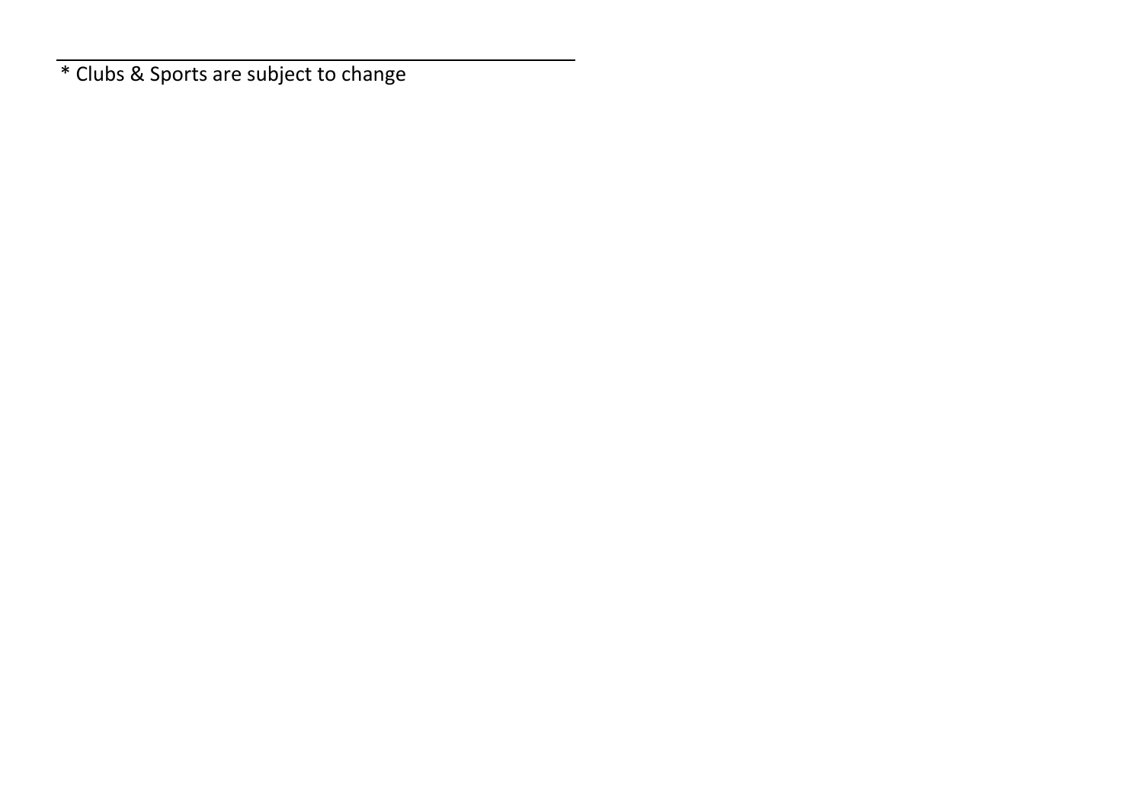\* Clubs & Sports are subject to change